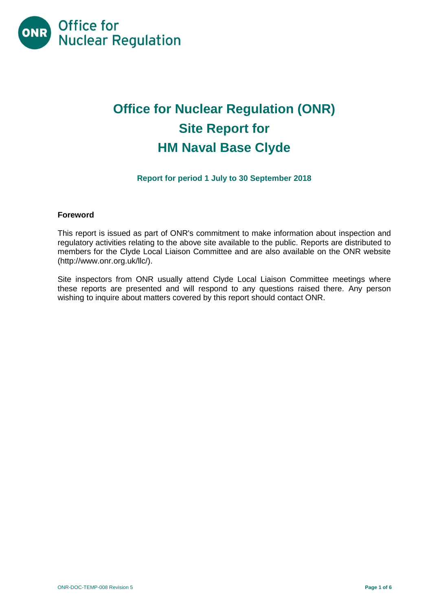

# **Office for Nuclear Regulation (ONR) Site Report for HM Naval Base Clyde**

# **Report for period 1 July to 30 September 2018**

#### **Foreword**

This report is issued as part of ONR's commitment to make information about inspection and regulatory activities relating to the above site available to the public. Reports are distributed to members for the Clyde Local Liaison Committee and are also available on the ONR website [\(http://www.onr.org.uk/llc/\)](http://www.onr.org.uk/llc/).

Site inspectors from ONR usually attend Clyde Local Liaison Committee meetings where these reports are presented and will respond to any questions raised there. Any person wishing to inquire about matters covered by this report should contact ONR.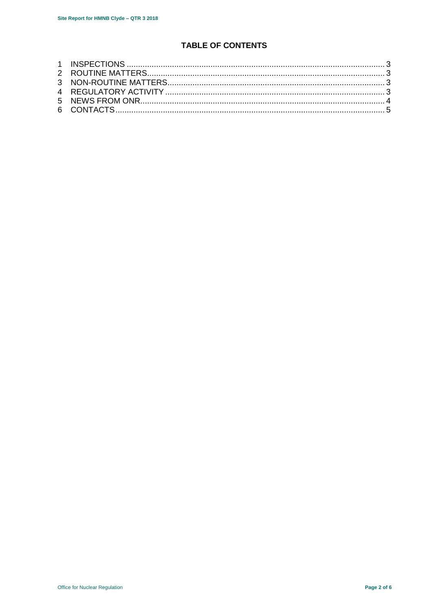# **TABLE OF CONTENTS**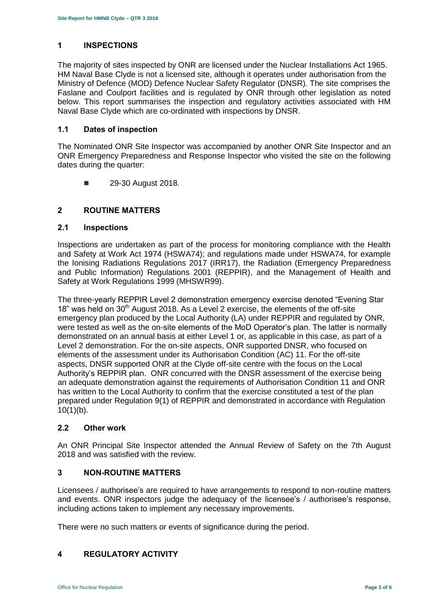# <span id="page-2-0"></span>**1 INSPECTIONS**

The majority of sites inspected by ONR are licensed under the Nuclear Installations Act 1965. HM Naval Base Clyde is not a licensed site, although it operates under authorisation from the Ministry of Defence (MOD) Defence Nuclear Safety Regulator (DNSR). The site comprises the Faslane and Coulport facilities and is regulated by ONR through other legislation as noted below. This report summarises the inspection and regulatory activities associated with HM Naval Base Clyde which are co-ordinated with inspections by DNSR.

#### **1.1 Dates of inspection**

The Nominated ONR Site Inspector was accompanied by another ONR Site Inspector and an ONR Emergency Preparedness and Response Inspector who visited the site on the following dates during the quarter:

**29-30 August 2018.** 

# <span id="page-2-1"></span>**2 ROUTINE MATTERS**

#### **2.1 Inspections**

Inspections are undertaken as part of the process for monitoring compliance with the Health and Safety at Work Act 1974 (HSWA74); and regulations made under HSWA74, for example the Ionising Radiations Regulations 2017 (IRR17), the Radiation (Emergency Preparedness and Public Information) Regulations 2001 (REPPIR), and the Management of Health and Safety at Work Regulations 1999 (MHSWR99).

The three-yearly REPPIR Level 2 demonstration emergency exercise denoted "Evening Star  $18$ " was held on  $30<sup>th</sup>$  August 2018. As a Level 2 exercise, the elements of the off-site emergency plan produced by the Local Authority (LA) under REPPIR and regulated by ONR, were tested as well as the on-site elements of the MoD Operator's plan. The latter is normally demonstrated on an annual basis at either Level 1 or, as applicable in this case, as part of a Level 2 demonstration. For the on-site aspects, ONR supported DNSR, who focused on elements of the assessment under its Authorisation Condition (AC) 11. For the off-site aspects, DNSR supported ONR at the Clyde off-site centre with the focus on the Local Authority's REPPIR plan. ONR concurred with the DNSR assessment of the exercise being an adequate demonstration against the requirements of Authorisation Condition 11 and ONR has written to the Local Authority to confirm that the exercise constituted a test of the plan prepared under Regulation 9(1) of REPPIR and demonstrated in accordance with Regulation  $10(1)(b)$ .

#### **2.2 Other work**

An ONR Principal Site Inspector attended the Annual Review of Safety on the 7th August 2018 and was satisfied with the review.

### <span id="page-2-2"></span>**3 NON-ROUTINE MATTERS**

Licensees / authorisee's are required to have arrangements to respond to non-routine matters and events. ONR inspectors judge the adequacy of the licensee's / authorisee's response, including actions taken to implement any necessary improvements.

There were no such matters or events of significance during the period.

# <span id="page-2-3"></span>**4 REGULATORY ACTIVITY**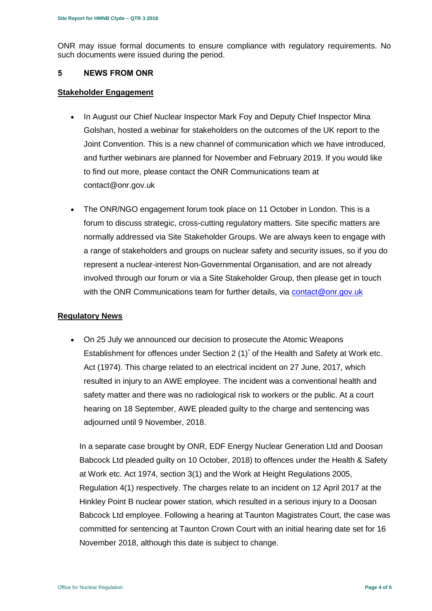ONR may issue formal documents to ensure compliance with regulatory requirements. No such documents were issued during the period.

#### <span id="page-3-0"></span>**5 NEWS FROM ONR**

#### **Stakeholder Engagement**

- In August our Chief Nuclear Inspector Mark Foy and Deputy Chief Inspector Mina Golshan, hosted a webinar for stakeholders on the outcomes of the UK report to the Joint Convention. This is a new channel of communication which we have introduced, and further webinars are planned for November and February 2019. If you would like to find out more, please contact the ONR Communications team at contact@onr.gov.uk
- The ONR/NGO engagement forum took place on 11 October in London. This is a forum to discuss strategic, cross-cutting regulatory matters. Site specific matters are normally addressed via Site Stakeholder Groups. We are always keen to engage with a range of stakeholders and groups on nuclear safety and security issues, so if you do represent a nuclear-interest Non-Governmental Organisation, and are not already involved through our forum or via a Site Stakeholder Group, then please get in touch with the ONR Communications team for further details, via [contact@onr.gov.uk](mailto:contact@onr.gov.uk)

#### **Regulatory News**

 On 25 July we announced our decision to prosecute the Atomic Weapons Establishment for offences under Section 2 (1)<sup>\*</sup> of the Health and Safety at Work etc. Act (1974). This charge related to an electrical incident on 27 June, 2017, which resulted in injury to an AWE employee. The incident was a conventional health and safety matter and there was no radiological risk to workers or the public. At a court hearing on 18 September, AWE pleaded guilty to the charge and sentencing was adjourned until 9 November, 2018.

In a separate case brought by ONR, EDF Energy Nuclear Generation Ltd and Doosan Babcock Ltd pleaded guilty on 10 October, 2018) to offences under the Health & Safety at Work etc. Act 1974, section 3(1) and the Work at Height Regulations 2005, Regulation 4(1) respectively. The charges relate to an incident on 12 April 2017 at the Hinkley Point B nuclear power station, which resulted in a serious injury to a Doosan Babcock Ltd employee. Following a hearing at Taunton Magistrates Court, the case was committed for sentencing at Taunton Crown Court with an initial hearing date set for 16 November 2018, although this date is subject to change.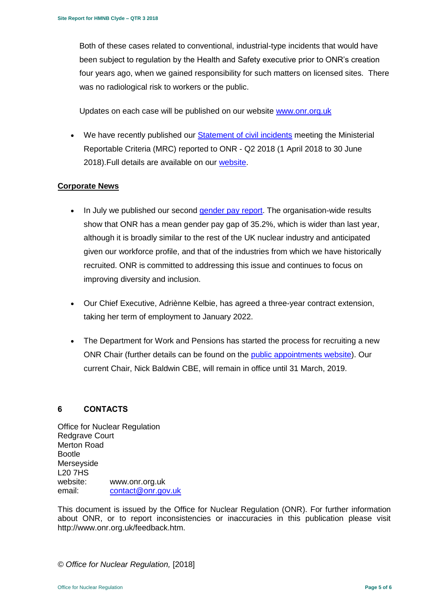Both of these cases related to conventional, industrial-type incidents that would have been subject to regulation by the Health and Safety executive prior to ONR's creation four years ago, when we gained responsibility for such matters on licensed sites. There was no radiological risk to workers or the public.

Updates on each case will be published on our website [www.onr.org.uk](http://www.onr.org.uk/)

• We have recently published our [Statement of civil incidents](http://www.onr.org.uk/quarterly-stat/2018-2.htm) meeting the Ministerial Reportable Criteria (MRC) reported to ONR - Q2 2018 (1 April 2018 to 30 June 2018).Full details are available on our [website.](http://www.onr.org.uk/quarterly-stat/2018-2.htm)

# **Corporate News**

- In July we published our second [gender pay report.](http://news.onr.org.uk/2018/07/onr-publishes-second-gender-pay-report/) The organisation-wide results show that ONR has a mean gender pay gap of 35.2%, which is wider than last year, although it is broadly similar to the rest of the UK nuclear industry and anticipated given our workforce profile, and that of the industries from which we have historically recruited. ONR is committed to addressing this issue and continues to focus on improving diversity and inclusion.
- Our Chief Executive, Adriènne Kelbie, has agreed a three-year contract extension, taking her term of employment to January 2022.
- The Department for Work and Pensions has started the process for recruiting a new ONR Chair (further details can be found on the [public appointments website\)](https://publicappointments.cabinetoffice.gov.uk/appointment/chair-the-office-for-nuclear-regulations/). Our current Chair, Nick Baldwin CBE, will remain in office until 31 March, 2019.

# <span id="page-4-0"></span>**6 CONTACTS**

Office for Nuclear Regulation Redgrave Court Merton Road Bootle Merseyside L20 7HS website: [www.onr.org.uk](http://www.onr.org.uk/) email: [contact@onr.gov.uk](mailto:@onr.gov.uk)

This document is issued by the Office for Nuclear Regulation (ONR). For further information about ONR, or to report inconsistencies or inaccuracies in this publication please visit [http://www.onr.org.uk/feedback.htm.](http://www.onr.org.uk/feedback.htm)

*© Office for Nuclear Regulation,* [2018]